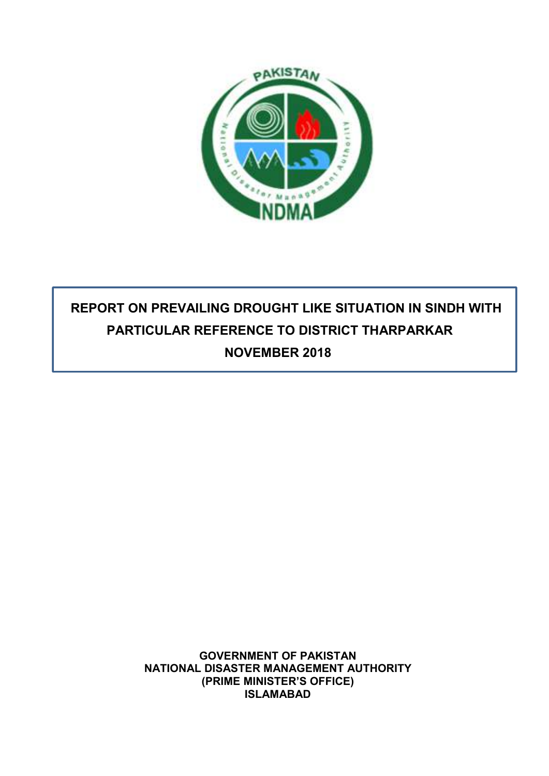

# **REPORT ON PREVAILING DROUGHT LIKE SITUATION IN SINDH WITH PARTICULAR REFERENCE TO DISTRICT THARPARKAR NOVEMBER 2018**

**GOVERNMENT OF PAKISTAN NATIONAL DISASTER MANAGEMENT AUTHORITY (PRIME MINISTER'S OFFICE) ISLAMABAD**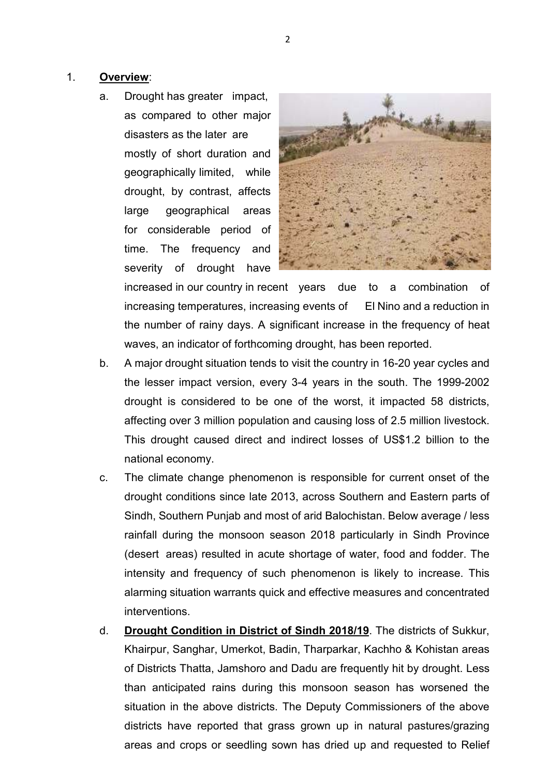### 1. **Overview**:

a. Drought has greater impact, as compared to other major disasters as the later are mostly of short duration and geographically limited, while drought, by contrast, affects large geographical areas for considerable period of time. The frequency and severity of drought have



increased in our country in recent years due to a combination increasing temperatures, increasing events of El Nino and a reduction in the number of rainy days. A significant increase in the frequency of heat waves, an indicator of forthcoming drought, has been reported.

- b. A major drought situation tends to visit the country in 16-20 year cycles and the lesser impact version, every 3-4 years in the south. The 1999-2002 drought is considered to be one of the worst, it impacted 58 districts, affecting over 3 million population and causing loss of 2.5 million livestock. This drought caused direct and indirect losses of US\$1.2 billion to the national economy.
- c. The climate change phenomenon is responsible for current onset of the drought conditions since late 2013, across Southern and Eastern parts of Sindh, Southern Punjab and most of arid Balochistan. Below average / less rainfall during the monsoon season 2018 particularly in Sindh Province (desert areas) resulted in acute shortage of water, food and fodder. The intensity and frequency of such phenomenon is likely to increase. This alarming situation warrants quick and effective measures and concentrated interventions.
- d. **Drought Condition in District of Sindh 2018/19**. The districts of Sukkur, Khairpur, Sanghar, Umerkot, Badin, Tharparkar, Kachho & Kohistan areas of Districts Thatta, Jamshoro and Dadu are frequently hit by drought. Less than anticipated rains during this monsoon season has worsened the situation in the above districts. The Deputy Commissioners of the above districts have reported that grass grown up in natural pastures/grazing areas and crops or seedling sown has dried up and requested to Relief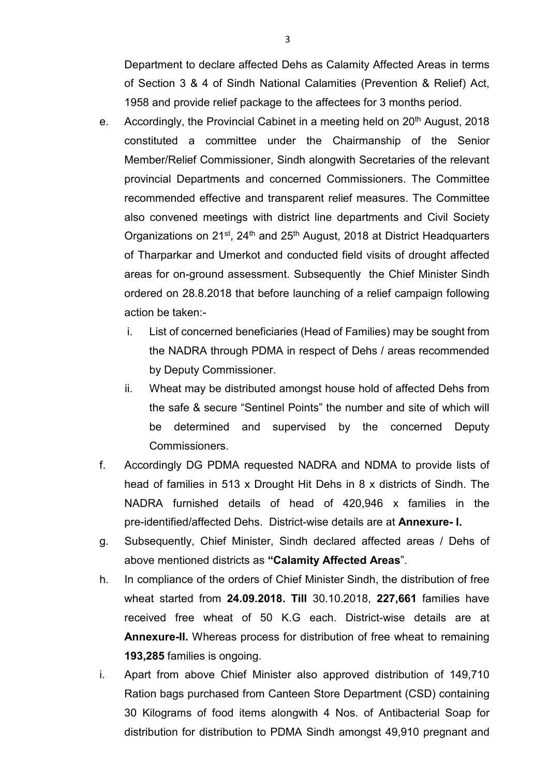Department to declare affected Dehs as Calamity Affected Areas in terms of Section 3 & 4 of Sindh National Calamities (Prevention & Relief) Act, 1958 and provide relief package to the affectees for 3 months period.

- e. Accordingly, the Provincial Cabinet in a meeting held on 20<sup>th</sup> August, 2018 constituted a committee under the Chairmanship of the Senior Member/Relief Commissioner, Sindh alongwith Secretaries of the relevant provincial Departments and concerned Commissioners. The Committee recommended effective and transparent relief measures. The Committee also convened meetings with district line departments and Civil Society Organizations on 21<sup>st</sup>, 24<sup>th</sup> and 25<sup>th</sup> August, 2018 at District Headquarters of Tharparkar and Umerkot and conducted field visits of drought affected areas for on-ground assessment. Subsequently the Chief Minister Sindh ordered on 28.8.2018 that before launching of a relief campaign following action be taken:
	- i. List of concerned beneficiaries (Head of Families) may be sought from the NADRA through PDMA in respect of Dehs / areas recommended by Deputy Commissioner.
	- ii. Wheat may be distributed amongst house hold of affected Dehs from the safe & secure "Sentinel Points" the number and site of which will be determined and supervised by the concerned Deputy Commissioners.
- f. Accordingly DG PDMA requested NADRA and NDMA to provide lists of head of families in 513 x Drought Hit Dehs in 8 x districts of Sindh. The NADRA furnished details of head of 420,946 x families in the pre-identified/affected Dehs. District-wise details are at **Annexure- I.**
- g. Subsequently, Chief Minister, Sindh declared affected areas / Dehs of above mentioned districts as **"Calamity Affected Areas**".
- h. In compliance of the orders of Chief Minister Sindh, the distribution of free wheat started from **24.09.2018. Till** 30.10.2018, **227,661** families have received free wheat of 50 K.G each. District-wise details are at **Annexure-II.** Whereas process for distribution of free wheat to remaining **193,285** families is ongoing.
- i. Apart from above Chief Minister also approved distribution of 149,710 Ration bags purchased from Canteen Store Department (CSD) containing 30 Kilograms of food items alongwith 4 Nos. of Antibacterial Soap for distribution for distribution to PDMA Sindh amongst 49,910 pregnant and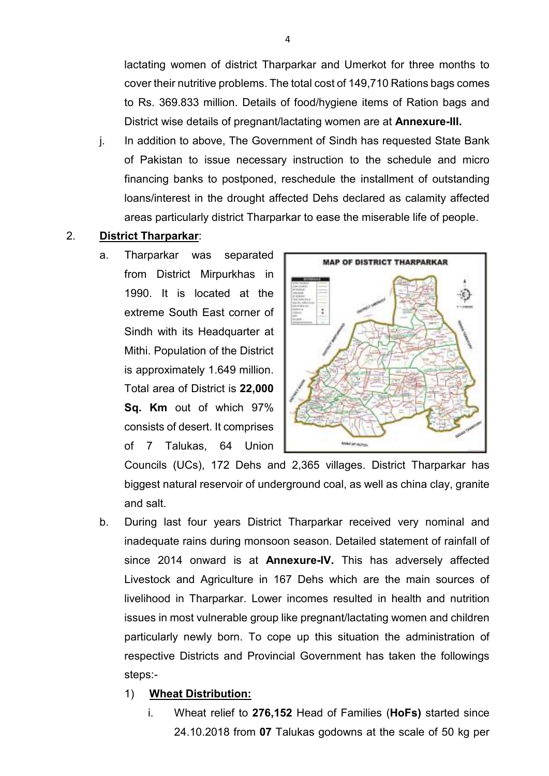lactating women of district Tharparkar and Umerkot for three months to cover their nutritive problems. The total cost of 149,710 Rations bags comes to Rs. 369.833 million. Details of food/hygiene items of Ration bags and District wise details of pregnant/lactating women are at **Annexure-III.**

j. In addition to above, The Government of Sindh has requested State Bank of Pakistan to issue necessary instruction to the schedule and micro financing banks to postponed, reschedule the installment of outstanding loans/interest in the drought affected Dehs declared as calamity affected areas particularly district Tharparkar to ease the miserable life of people.

#### 2. **District Tharparkar**:

a. Tharparkar was separated from District Mirpurkhas in 1990. It is located at the extreme South East corner of Sindh with its Headquarter at Mithi. Population of the District is approximately 1.649 million. Total area of District is **22,000 Sq. Km** out of which 97% consists of desert. It comprises of 7 Talukas, 64 Union



Councils (UCs), 172 Dehs and 2,365 villages. District Tharparkar has biggest natural reservoir of underground coal, as well as china clay, granite and salt.

b. During last four years District Tharparkar received very nominal and inadequate rains during monsoon season. Detailed statement of rainfall of since 2014 onward is at **Annexure-IV.** This has adversely affected Livestock and Agriculture in 167 Dehs which are the main sources of livelihood in Tharparkar. Lower incomes resulted in health and nutrition issues in most vulnerable group like pregnant/lactating women and children particularly newly born. To cope up this situation the administration of respective Districts and Provincial Government has taken the followings steps:-

#### 1) **Wheat Distribution:**

i. Wheat relief to **276,152** Head of Families (**HoFs)** started since 24.10.2018 from **07** Talukas godowns at the scale of 50 kg per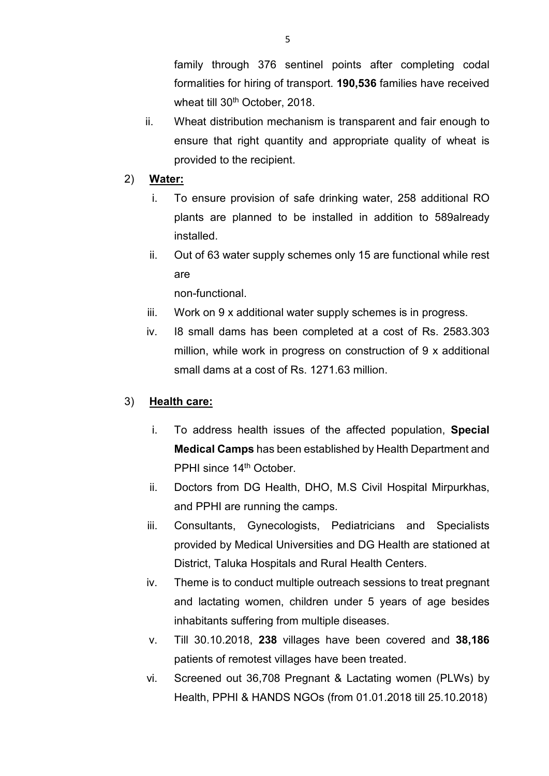family through 376 sentinel points after completing codal formalities for hiring of transport. **190,536** families have received wheat till 30<sup>th</sup> October, 2018.

- ii. Wheat distribution mechanism is transparent and fair enough to ensure that right quantity and appropriate quality of wheat is provided to the recipient.
- 2) **Water:** 
	- i. To ensure provision of safe drinking water, 258 additional RO plants are planned to be installed in addition to 589already installed.
	- ii. Out of 63 water supply schemes only 15 are functional while rest are

non-functional.

- iii. Work on 9 x additional water supply schemes is in progress.
- iv. I8 small dams has been completed at a cost of Rs. 2583.303 million, while work in progress on construction of 9 x additional small dams at a cost of Rs. 1271.63 million.

### 3) **Health care:**

- i. To address health issues of the affected population, **Special Medical Camps** has been established by Health Department and PPHI since 14<sup>th</sup> October.
- ii. Doctors from DG Health, DHO, M.S Civil Hospital Mirpurkhas, and PPHI are running the camps.
- iii. Consultants, Gynecologists, Pediatricians and Specialists provided by Medical Universities and DG Health are stationed at District, Taluka Hospitals and Rural Health Centers.
- iv. Theme is to conduct multiple outreach sessions to treat pregnant and lactating women, children under 5 years of age besides inhabitants suffering from multiple diseases.
- v. Till 30.10.2018, **238** villages have been covered and **38,186** patients of remotest villages have been treated.
- vi. Screened out 36,708 Pregnant & Lactating women (PLWs) by Health, PPHI & HANDS NGOs (from 01.01.2018 till 25.10.2018)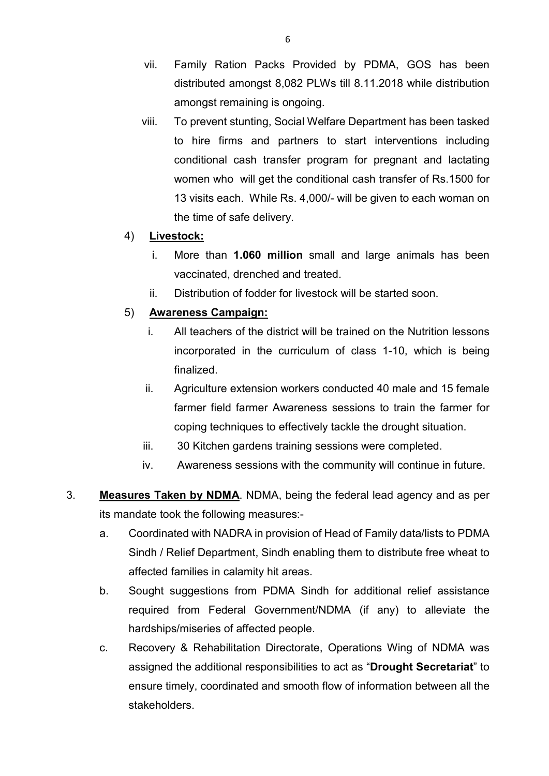- vii. Family Ration Packs Provided by PDMA, GOS has been distributed amongst 8,082 PLWs till 8.11.2018 while distribution amongst remaining is ongoing.
- viii. To prevent stunting, Social Welfare Department has been tasked to hire firms and partners to start interventions including conditional cash transfer program for pregnant and lactating women who will get the conditional cash transfer of Rs.1500 for 13 visits each. While Rs. 4,000/- will be given to each woman on the time of safe delivery.

### 4) **Livestock:**

- i. More than **1.060 million** small and large animals has been vaccinated, drenched and treated.
- ii. Distribution of fodder for livestock will be started soon.

### 5) **Awareness Campaign:**

- i. All teachers of the district will be trained on the Nutrition lessons incorporated in the curriculum of class 1-10, which is being finalized.
- ii. Agriculture extension workers conducted 40 male and 15 female farmer field farmer Awareness sessions to train the farmer for coping techniques to effectively tackle the drought situation.
- iii. 30 Kitchen gardens training sessions were completed.
- iv. Awareness sessions with the community will continue in future.
- 3. **Measures Taken by NDMA**. NDMA, being the federal lead agency and as per its mandate took the following measures:
	- a. Coordinated with NADRA in provision of Head of Family data/lists to PDMA Sindh / Relief Department, Sindh enabling them to distribute free wheat to affected families in calamity hit areas.
	- b. Sought suggestions from PDMA Sindh for additional relief assistance required from Federal Government/NDMA (if any) to alleviate the hardships/miseries of affected people.
	- c. Recovery & Rehabilitation Directorate, Operations Wing of NDMA was assigned the additional responsibilities to act as "**Drought Secretariat**" to ensure timely, coordinated and smooth flow of information between all the stakeholders.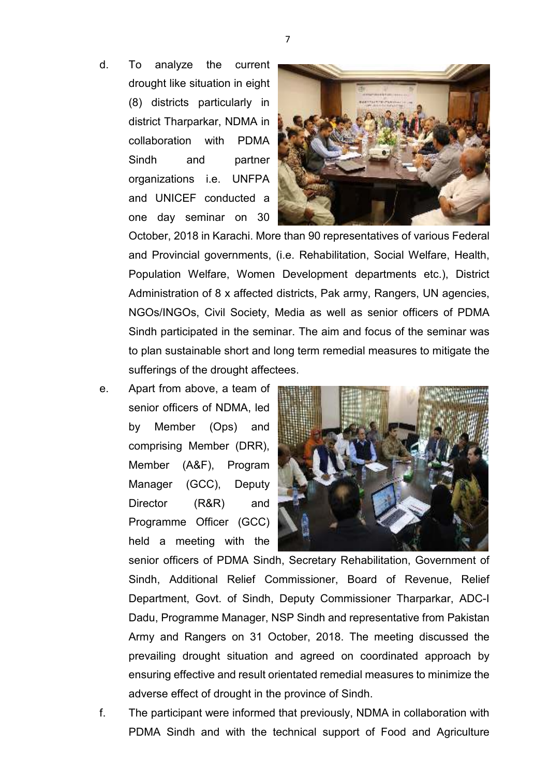d. To analyze the current drought like situation in eight (8) districts particularly in district Tharparkar, NDMA in collaboration with PDMA Sindh and partner organizations i.e. UNFPA and UNICEF conducted a one day seminar on 30



October, 2018 in Karachi. More than 90 representatives of various Federal and Provincial governments, (i.e. Rehabilitation, Social Welfare, Health, Population Welfare, Women Development departments etc.), District Administration of 8 x affected districts, Pak army, Rangers, UN agencies, NGOs/INGOs, Civil Society, Media as well as senior officers of PDMA Sindh participated in the seminar. The aim and focus of the seminar was to plan sustainable short and long term remedial measures to mitigate the sufferings of the drought affectees.

e. Apart from above, a team of senior officers of NDMA, led by Member (Ops) and comprising Member (DRR), Member (A&F), Program Manager (GCC), Deputy Director (R&R) and Programme Officer (GCC) held a meeting with the



senior officers of PDMA Sindh, Secretary Rehabilitation, Government of Sindh, Additional Relief Commissioner, Board of Revenue, Relief Department, Govt. of Sindh, Deputy Commissioner Tharparkar, ADC-I Dadu, Programme Manager, NSP Sindh and representative from Pakistan Army and Rangers on 31 October, 2018. The meeting discussed the prevailing drought situation and agreed on coordinated approach by ensuring effective and result orientated remedial measures to minimize the adverse effect of drought in the province of Sindh.

f. The participant were informed that previously, NDMA in collaboration with PDMA Sindh and with the technical support of Food and Agriculture

7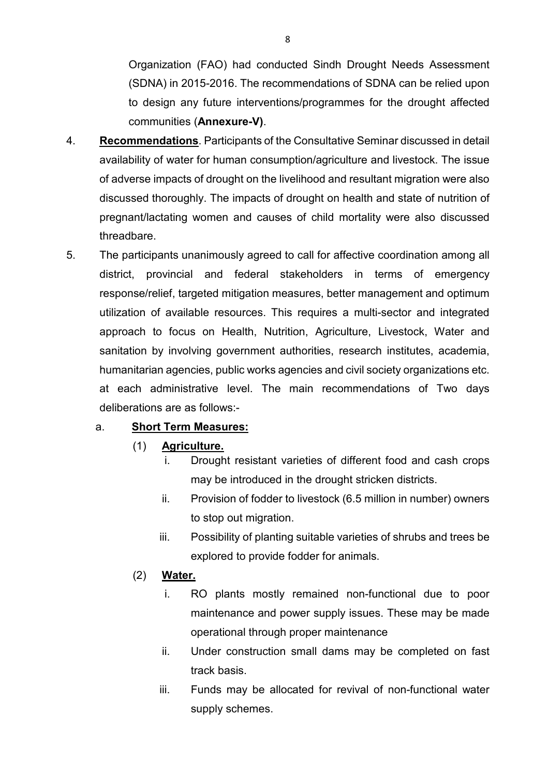Organization (FAO) had conducted Sindh Drought Needs Assessment (SDNA) in 2015-2016. The recommendations of SDNA can be relied upon to design any future interventions/programmes for the drought affected communities (**Annexure-V)**.

- 4. **Recommendations**. Participants of the Consultative Seminar discussed in detail availability of water for human consumption/agriculture and livestock. The issue of adverse impacts of drought on the livelihood and resultant migration were also discussed thoroughly. The impacts of drought on health and state of nutrition of pregnant/lactating women and causes of child mortality were also discussed threadbare.
- 5. The participants unanimously agreed to call for affective coordination among all district, provincial and federal stakeholders in terms of emergency response/relief, targeted mitigation measures, better management and optimum utilization of available resources. This requires a multi-sector and integrated approach to focus on Health, Nutrition, Agriculture, Livestock, Water and sanitation by involving government authorities, research institutes, academia, humanitarian agencies, public works agencies and civil society organizations etc. at each administrative level. The main recommendations of Two days deliberations are as follows:-

### a. **Short Term Measures:**

### (1) **Agriculture.**

- i. Drought resistant varieties of different food and cash crops may be introduced in the drought stricken districts.
- ii. Provision of fodder to livestock (6.5 million in number) owners to stop out migration.
- iii. Possibility of planting suitable varieties of shrubs and trees be explored to provide fodder for animals.

### (2) **Water.**

- i. RO plants mostly remained non-functional due to poor maintenance and power supply issues. These may be made operational through proper maintenance
- ii. Under construction small dams may be completed on fast track basis.
- iii. Funds may be allocated for revival of non-functional water supply schemes.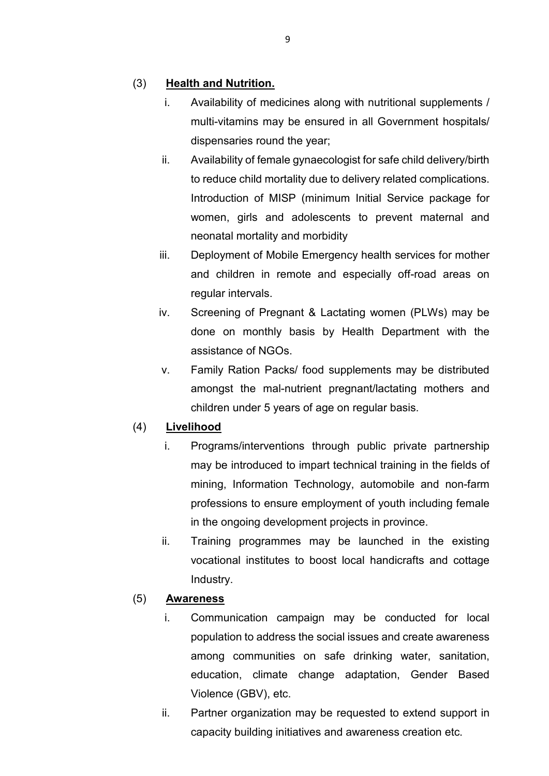### (3) **Health and Nutrition.**

- i. Availability of medicines along with nutritional supplements / multi-vitamins may be ensured in all Government hospitals/ dispensaries round the year;
- ii. Availability of female gynaecologist for safe child delivery/birth to reduce child mortality due to delivery related complications. Introduction of MISP (minimum Initial Service package for women, girls and adolescents to prevent maternal and neonatal mortality and morbidity
- iii. Deployment of Mobile Emergency health services for mother and children in remote and especially off-road areas on regular intervals.
- iv. Screening of Pregnant & Lactating women (PLWs) may be done on monthly basis by Health Department with the assistance of NGOs.
- v. Family Ration Packs/ food supplements may be distributed amongst the mal-nutrient pregnant/lactating mothers and children under 5 years of age on regular basis.

### (4) **Livelihood**

- i. Programs/interventions through public private partnership may be introduced to impart technical training in the fields of mining, Information Technology, automobile and non-farm professions to ensure employment of youth including female in the ongoing development projects in province.
- ii. Training programmes may be launched in the existing vocational institutes to boost local handicrafts and cottage Industry.

### (5) **Awareness**

- i. Communication campaign may be conducted for local population to address the social issues and create awareness among communities on safe drinking water, sanitation, education, climate change adaptation, Gender Based Violence (GBV), etc.
- ii. Partner organization may be requested to extend support in capacity building initiatives and awareness creation etc.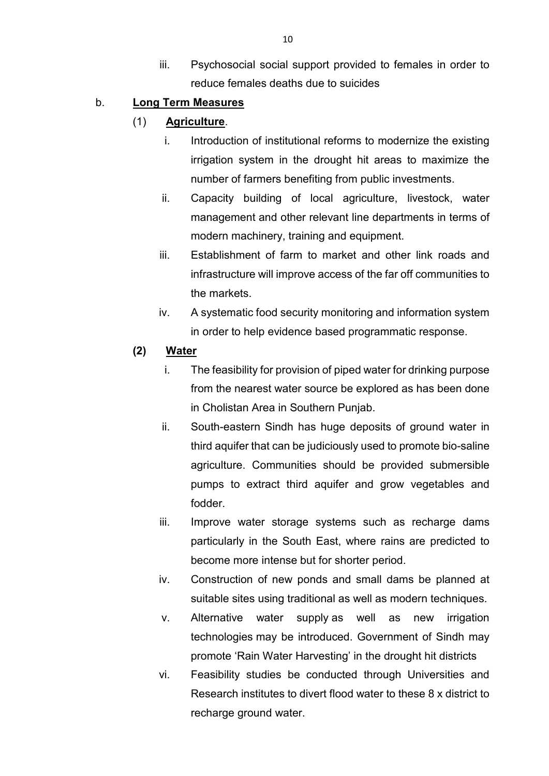iii. Psychosocial social support provided to females in order to reduce females deaths due to suicides

### b. **Long Term Measures**

### (1) **Agriculture**.

- i. Introduction of institutional reforms to modernize the existing irrigation system in the drought hit areas to maximize the number of farmers benefiting from public investments.
- ii. Capacity building of local agriculture, livestock, water management and other relevant line departments in terms of modern machinery, training and equipment.
- iii. Establishment of farm to market and other link roads and infrastructure will improve access of the far off communities to the markets.
- iv. A systematic food security monitoring and information system in order to help evidence based programmatic response.

### **(2) Water**

- i. The feasibility for provision of piped water for drinking purpose from the nearest water source be explored as has been done in Cholistan Area in Southern Punjab.
- ii. South-eastern Sindh has huge deposits of ground water in third aquifer that can be judiciously used to promote bio-saline agriculture. Communities should be provided submersible pumps to extract third aquifer and grow vegetables and fodder.
- iii. Improve water storage systems such as recharge dams particularly in the South East, where rains are predicted to become more intense but for shorter period.
- iv. Construction of new ponds and small dams be planned at suitable sites using traditional as well as modern techniques.
- v. Alternative water supply as well as new irrigation technologies may be introduced. Government of Sindh may promote 'Rain Water Harvesting' in the drought hit districts
- vi. Feasibility studies be conducted through Universities and Research institutes to divert flood water to these 8 x district to recharge ground water.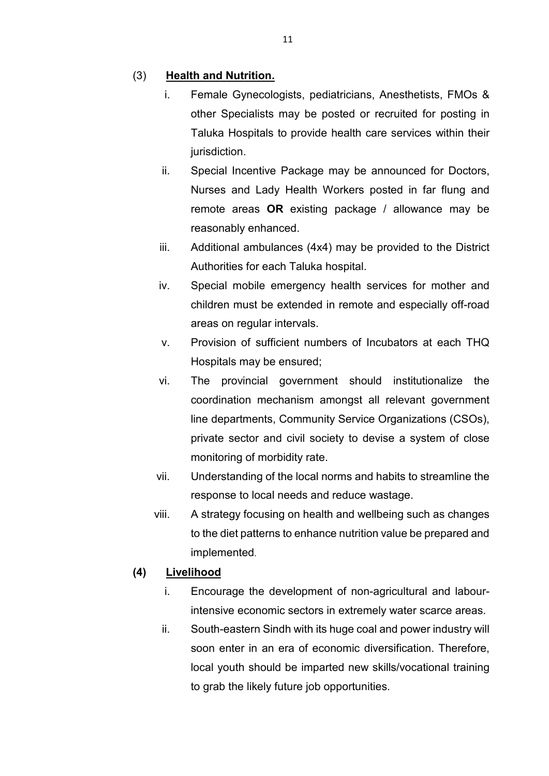### (3) **Health and Nutrition.**

- i. Female Gynecologists, pediatricians, Anesthetists, FMOs & other Specialists may be posted or recruited for posting in Taluka Hospitals to provide health care services within their jurisdiction.
- ii. Special Incentive Package may be announced for Doctors, Nurses and Lady Health Workers posted in far flung and remote areas **OR** existing package / allowance may be reasonably enhanced.
- iii. Additional ambulances (4x4) may be provided to the District Authorities for each Taluka hospital.
- iv. Special mobile emergency health services for mother and children must be extended in remote and especially off-road areas on regular intervals.
- v. Provision of sufficient numbers of Incubators at each THQ Hospitals may be ensured;
- vi. The provincial government should institutionalize the coordination mechanism amongst all relevant government line departments, Community Service Organizations (CSOs), private sector and civil society to devise a system of close monitoring of morbidity rate.
- vii. Understanding of the local norms and habits to streamline the response to local needs and reduce wastage.
- viii. A strategy focusing on health and wellbeing such as changes to the diet patterns to enhance nutrition value be prepared and implemented.

### **(4) Livelihood**

- i. Encourage the development of non-agricultural and labourintensive economic sectors in extremely water scarce areas.
- ii. South-eastern Sindh with its huge coal and power industry will soon enter in an era of economic diversification. Therefore, local youth should be imparted new skills/vocational training to grab the likely future job opportunities.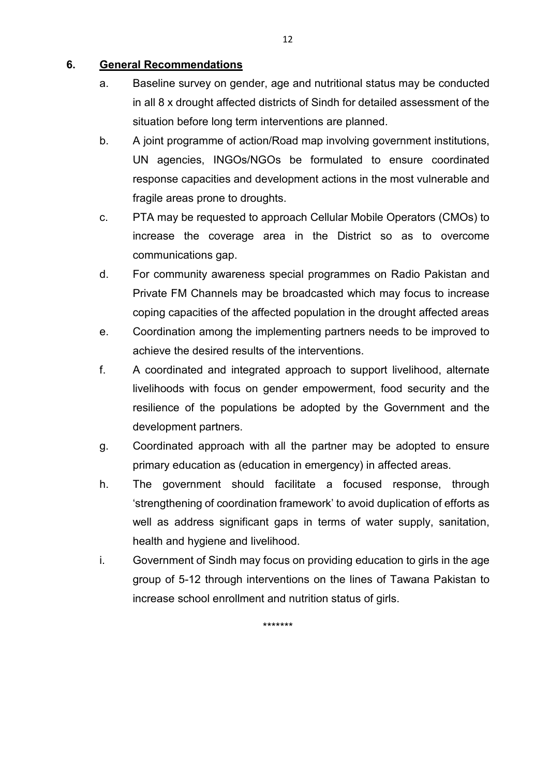### **6. General Recommendations**

- a. Baseline survey on gender, age and nutritional status may be conducted in all 8 x drought affected districts of Sindh for detailed assessment of the situation before long term interventions are planned.
- b. A joint programme of action/Road map involving government institutions, UN agencies, INGOs/NGOs be formulated to ensure coordinated response capacities and development actions in the most vulnerable and fragile areas prone to droughts.
- c. PTA may be requested to approach Cellular Mobile Operators (CMOs) to increase the coverage area in the District so as to overcome communications gap.
- d. For community awareness special programmes on Radio Pakistan and Private FM Channels may be broadcasted which may focus to increase coping capacities of the affected population in the drought affected areas
- e. Coordination among the implementing partners needs to be improved to achieve the desired results of the interventions.
- f. A coordinated and integrated approach to support livelihood, alternate livelihoods with focus on gender empowerment, food security and the resilience of the populations be adopted by the Government and the development partners.
- g. Coordinated approach with all the partner may be adopted to ensure primary education as (education in emergency) in affected areas.
- h. The government should facilitate a focused response, through 'strengthening of coordination framework' to avoid duplication of efforts as well as address significant gaps in terms of water supply, sanitation, health and hygiene and livelihood.
- i. Government of Sindh may focus on providing education to girls in the age group of 5-12 through interventions on the lines of Tawana Pakistan to increase school enrollment and nutrition status of girls.

\*\*\*\*\*\*\*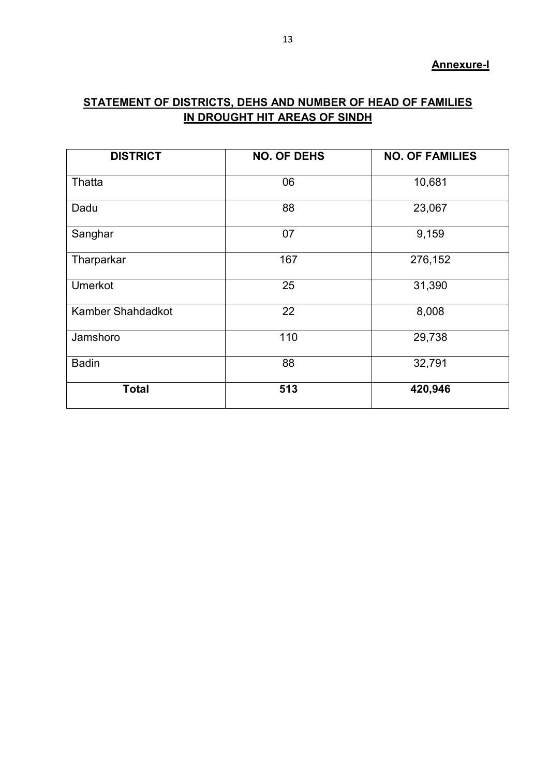#### **Annexure-I**

# **STATEMENT OF DISTRICTS, DEHS AND NUMBER OF HEAD OF FAMILIES IN DROUGHT HIT AREAS OF SINDH**

| <b>DISTRICT</b>   | <b>NO. OF DEHS</b> | <b>NO. OF FAMILIES</b> |
|-------------------|--------------------|------------------------|
| Thatta            | 06                 | 10,681                 |
| Dadu              | 88                 | 23,067                 |
| Sanghar           | 07                 | 9,159                  |
| Tharparkar        | 167                | 276,152                |
| Umerkot           | 25                 | 31,390                 |
| Kamber Shahdadkot | 22                 | 8,008                  |
| Jamshoro          | 110                | 29,738                 |
| <b>Badin</b>      | 88                 | 32,791                 |
| <b>Total</b>      | 513                | 420,946                |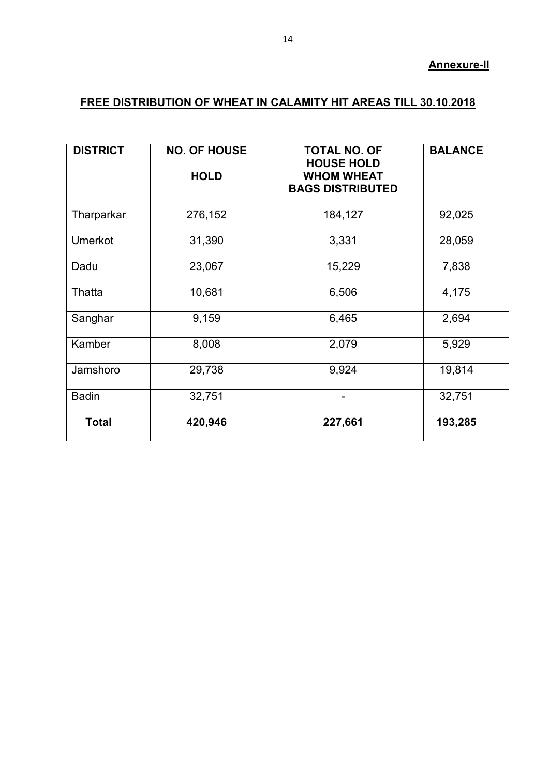### **Annexure-II**

# **FREE DISTRIBUTION OF WHEAT IN CALAMITY HIT AREAS TILL 30.10.2018**

| <b>DISTRICT</b> | <b>NO. OF HOUSE</b><br><b>HOLD</b> | <b>TOTAL NO. OF</b><br><b>HOUSE HOLD</b><br><b>WHOM WHEAT</b><br><b>BAGS DISTRIBUTED</b> | <b>BALANCE</b> |
|-----------------|------------------------------------|------------------------------------------------------------------------------------------|----------------|
|                 |                                    |                                                                                          |                |
| Tharparkar      | 276,152                            | 184,127                                                                                  | 92,025         |
| <b>Umerkot</b>  | 31,390                             | 3,331                                                                                    | 28,059         |
| Dadu            | 23,067                             | 15,229                                                                                   | 7,838          |
| Thatta          | 10,681                             | 6,506                                                                                    | 4,175          |
| Sanghar         | 9,159                              | 6,465                                                                                    | 2,694          |
| Kamber          | 8,008                              | 2,079                                                                                    | 5,929          |
| Jamshoro        | 29,738                             | 9,924                                                                                    | 19,814         |
| <b>Badin</b>    | 32,751                             |                                                                                          | 32,751         |
| <b>Total</b>    | 420,946                            | 227,661                                                                                  | 193,285        |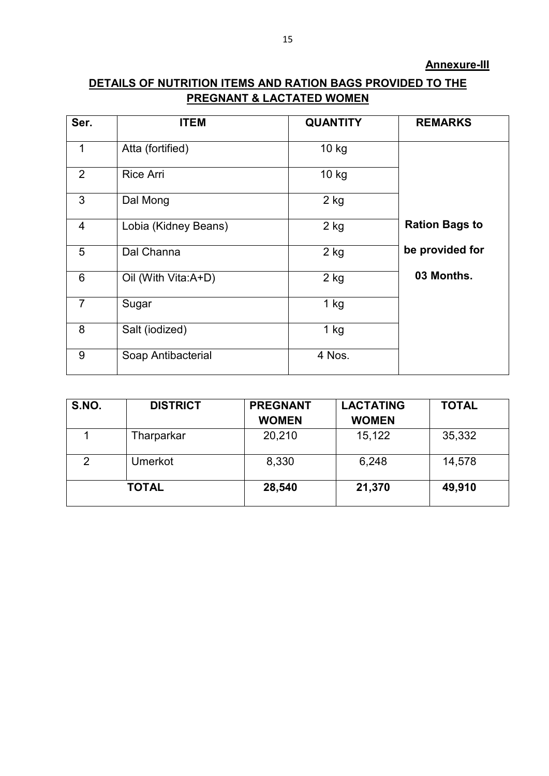# **DETAILS OF NUTRITION ITEMS AND RATION BAGS PROVIDED TO THE PREGNANT & LACTATED WOMEN**

| Ser.           | <b>ITEM</b>          | <b>QUANTITY</b> | <b>REMARKS</b>        |
|----------------|----------------------|-----------------|-----------------------|
| $\mathbf 1$    | Atta (fortified)     | $10$ kg         |                       |
| 2              | <b>Rice Arri</b>     | 10 kg           |                       |
| 3              | Dal Mong             | $2$ kg          |                       |
| $\overline{4}$ | Lobia (Kidney Beans) | $2$ kg          | <b>Ration Bags to</b> |
| 5              | Dal Channa           | $2$ kg          | be provided for       |
| 6              | Oil (With Vita:A+D)  | $2$ kg          | 03 Months.            |
| $\overline{7}$ | Sugar                | $1$ kg          |                       |
| 8              | Salt (iodized)       | $1$ kg          |                       |
| 9              | Soap Antibacterial   | 4 Nos.          |                       |

| S.NO. | <b>DISTRICT</b> | <b>PREGNANT</b> | <b>LACTATING</b> | <b>TOTAL</b> |
|-------|-----------------|-----------------|------------------|--------------|
|       |                 | <b>WOMEN</b>    | <b>WOMEN</b>     |              |
|       | Tharparkar      | 20,210          | 15,122           | 35,332       |
| 2     | Umerkot         | 8,330           | 6,248            | 14,578       |
|       | <b>TOTAL</b>    | 28,540          | 21,370           | 49,910       |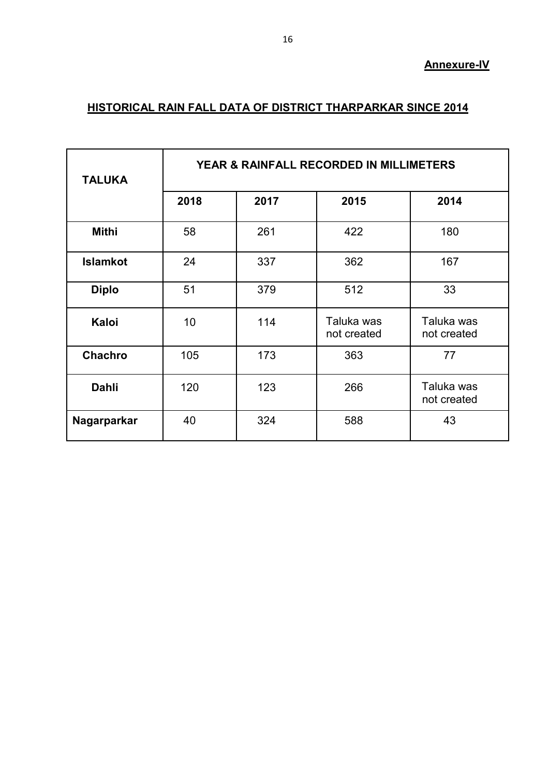### **Annexure-IV**

# **HISTORICAL RAIN FALL DATA OF DISTRICT THARPARKAR SINCE 2014**

| <b>TALUKA</b>   | YEAR & RAINFALL RECORDED IN MILLIMETERS |      |                           |                           |
|-----------------|-----------------------------------------|------|---------------------------|---------------------------|
|                 | 2018                                    | 2017 | 2015                      | 2014                      |
| <b>Mithi</b>    | 58                                      | 261  | 422                       | 180                       |
| <b>Islamkot</b> | 24                                      | 337  | 362                       | 167                       |
| <b>Diplo</b>    | 51                                      | 379  | 512                       | 33                        |
| Kaloi           | 10                                      | 114  | Taluka was<br>not created | Taluka was<br>not created |
| Chachro         | 105                                     | 173  | 363                       | 77                        |
| Dahli           | 120                                     | 123  | 266                       | Taluka was<br>not created |
| Nagarparkar     | 40                                      | 324  | 588                       | 43                        |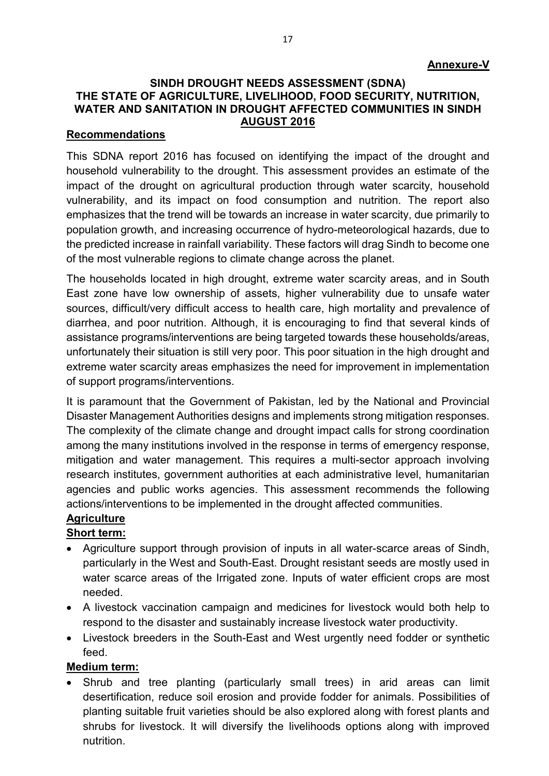### **SINDH DROUGHT NEEDS ASSESSMENT (SDNA) THE STATE OF AGRICULTURE, LIVELIHOOD, FOOD SECURITY, NUTRITION, WATER AND SANITATION IN DROUGHT AFFECTED COMMUNITIES IN SINDH AUGUST 2016**

#### **Recommendations**

This SDNA report 2016 has focused on identifying the impact of the drought and household vulnerability to the drought. This assessment provides an estimate of the impact of the drought on agricultural production through water scarcity, household vulnerability, and its impact on food consumption and nutrition. The report also emphasizes that the trend will be towards an increase in water scarcity, due primarily to population growth, and increasing occurrence of hydro-meteorological hazards, due to the predicted increase in rainfall variability. These factors will drag Sindh to become one of the most vulnerable regions to climate change across the planet.

The households located in high drought, extreme water scarcity areas, and in South East zone have low ownership of assets, higher vulnerability due to unsafe water sources, difficult/very difficult access to health care, high mortality and prevalence of diarrhea, and poor nutrition. Although, it is encouraging to find that several kinds of assistance programs/interventions are being targeted towards these households/areas, unfortunately their situation is still very poor. This poor situation in the high drought and extreme water scarcity areas emphasizes the need for improvement in implementation of support programs/interventions.

It is paramount that the Government of Pakistan, led by the National and Provincial Disaster Management Authorities designs and implements strong mitigation responses. The complexity of the climate change and drought impact calls for strong coordination among the many institutions involved in the response in terms of emergency response, mitigation and water management. This requires a multi-sector approach involving research institutes, government authorities at each administrative level, humanitarian agencies and public works agencies. This assessment recommends the following actions/interventions to be implemented in the drought affected communities.

# **Agriculture**

### **Short term:**

- Agriculture support through provision of inputs in all water-scarce areas of Sindh, particularly in the West and South-East. Drought resistant seeds are mostly used in water scarce areas of the Irrigated zone. Inputs of water efficient crops are most needed.
- A livestock vaccination campaign and medicines for livestock would both help to respond to the disaster and sustainably increase livestock water productivity.
- Livestock breeders in the South-East and West urgently need fodder or synthetic feed.

### **Medium term:**

 Shrub and tree planting (particularly small trees) in arid areas can limit desertification, reduce soil erosion and provide fodder for animals. Possibilities of planting suitable fruit varieties should be also explored along with forest plants and shrubs for livestock. It will diversify the livelihoods options along with improved nutrition.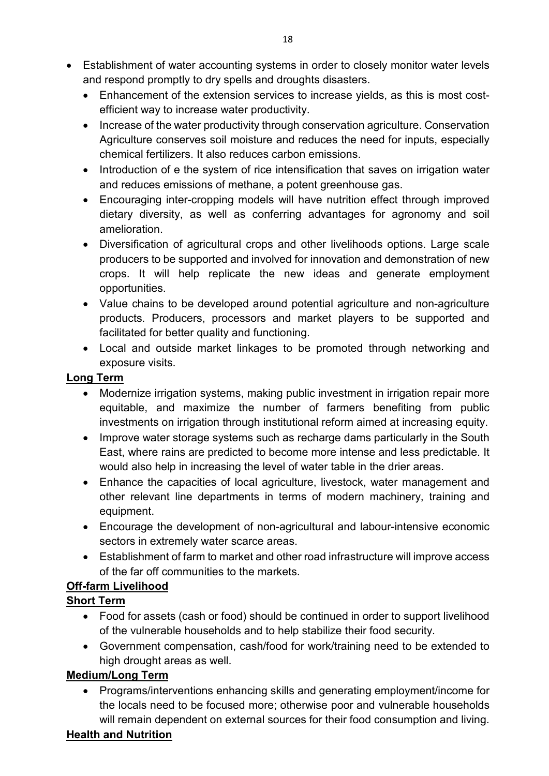- Establishment of water accounting systems in order to closely monitor water levels and respond promptly to dry spells and droughts disasters.
	- Enhancement of the extension services to increase yields, as this is most costefficient way to increase water productivity.
	- Increase of the water productivity through conservation agriculture. Conservation Agriculture conserves soil moisture and reduces the need for inputs, especially chemical fertilizers. It also reduces carbon emissions.
	- Introduction of e the system of rice intensification that saves on irrigation water and reduces emissions of methane, a potent greenhouse gas.
	- Encouraging inter-cropping models will have nutrition effect through improved dietary diversity, as well as conferring advantages for agronomy and soil amelioration.
	- Diversification of agricultural crops and other livelihoods options. Large scale producers to be supported and involved for innovation and demonstration of new crops. It will help replicate the new ideas and generate employment opportunities.
	- Value chains to be developed around potential agriculture and non-agriculture products. Producers, processors and market players to be supported and facilitated for better quality and functioning.
	- Local and outside market linkages to be promoted through networking and exposure visits.

## **Long Term**

- Modernize irrigation systems, making public investment in irrigation repair more equitable, and maximize the number of farmers benefiting from public investments on irrigation through institutional reform aimed at increasing equity.
- Improve water storage systems such as recharge dams particularly in the South East, where rains are predicted to become more intense and less predictable. It would also help in increasing the level of water table in the drier areas.
- Enhance the capacities of local agriculture, livestock, water management and other relevant line departments in terms of modern machinery, training and equipment.
- Encourage the development of non-agricultural and labour-intensive economic sectors in extremely water scarce areas.
- Establishment of farm to market and other road infrastructure will improve access of the far off communities to the markets.

# **Off-farm Livelihood**

# **Short Term**

- Food for assets (cash or food) should be continued in order to support livelihood of the vulnerable households and to help stabilize their food security.
- Government compensation, cash/food for work/training need to be extended to high drought areas as well.

# **Medium/Long Term**

 Programs/interventions enhancing skills and generating employment/income for the locals need to be focused more; otherwise poor and vulnerable households will remain dependent on external sources for their food consumption and living.

# **Health and Nutrition**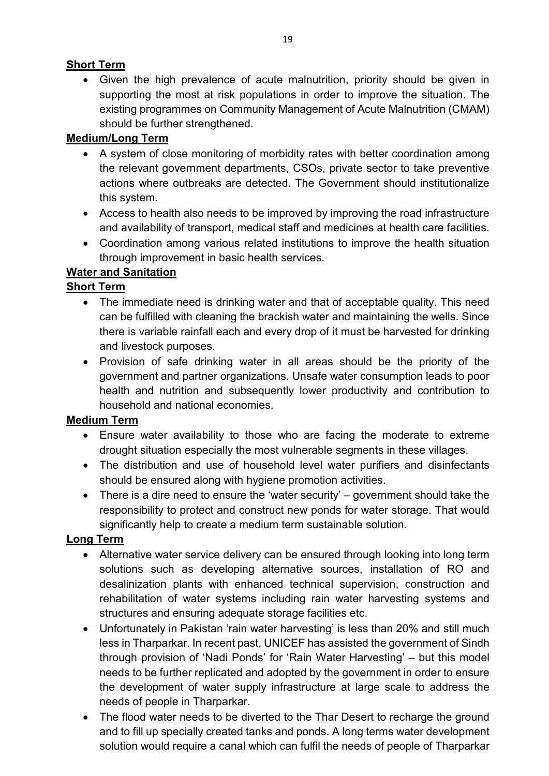## **Short Term**

 Given the high prevalence of acute malnutrition, priority should be given in supporting the most at risk populations in order to improve the situation. The existing programmes on Community Management of Acute Malnutrition (CMAM) should be further strengthened.

# **Medium/Long Term**

- A system of close monitoring of morbidity rates with better coordination among the relevant government departments, CSOs, private sector to take preventive actions where outbreaks are detected. The Government should institutionalize this system.
- Access to health also needs to be improved by improving the road infrastructure and availability of transport, medical staff and medicines at health care facilities.
- Coordination among various related institutions to improve the health situation through improvement in basic health services.

## **Water and Sanitation**

## **Short Term**

- The immediate need is drinking water and that of acceptable quality. This need can be fulfilled with cleaning the brackish water and maintaining the wells. Since there is variable rainfall each and every drop of it must be harvested for drinking and livestock purposes.
- Provision of safe drinking water in all areas should be the priority of the government and partner organizations. Unsafe water consumption leads to poor health and nutrition and subsequently lower productivity and contribution to household and national economies.

### **Medium Term**

- Ensure water availability to those who are facing the moderate to extreme drought situation especially the most vulnerable segments in these villages.
- The distribution and use of household level water purifiers and disinfectants should be ensured along with hygiene promotion activities.
- There is a dire need to ensure the 'water security' government should take the responsibility to protect and construct new ponds for water storage. That would significantly help to create a medium term sustainable solution.

# **Long Term**

- Alternative water service delivery can be ensured through looking into long term solutions such as developing alternative sources, installation of RO and desalinization plants with enhanced technical supervision, construction and rehabilitation of water systems including rain water harvesting systems and structures and ensuring adequate storage facilities etc.
- Unfortunately in Pakistan 'rain water harvesting' is less than 20% and still much less in Tharparkar. In recent past, UNICEF has assisted the government of Sindh through provision of 'Nadi Ponds' for 'Rain Water Harvesting' – but this model needs to be further replicated and adopted by the government in order to ensure the development of water supply infrastructure at large scale to address the needs of people in Tharparkar.
- The flood water needs to be diverted to the Thar Desert to recharge the ground and to fill up specially created tanks and ponds. A long terms water development solution would require a canal which can fulfil the needs of people of Tharparkar